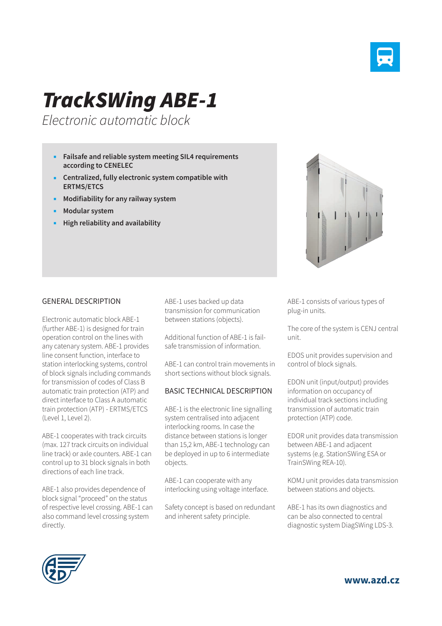

## *TrackSWing ABE-1*

*Electronic automatic block*

- **Failsafe and reliable system meeting SIL4 requirements according to CENELEC**
- **Centralized, fully electronic system compatible with ERTMS/ETCS**
- **Modifiability for any railway system**
- **Modular system**
- **High reliability and availability**

## GENERAL DESCRIPTION

Electronic automatic block ABE-1 (further ABE-1) is designed for train operation control on the lines with any catenary system. ABE-1 provides line consent function, interface to station interlocking systems, control of block signals including commands for transmission of codes of Class B automatic train protection (ATP) and direct interface to Class A automatic train protection (ATP) - ERTMS/ETCS (Level 1, Level 2).

ABE-1 cooperates with track circuits (max. 127 track circuits on individual line track) or axle counters. ABE-1 can control up to 31 block signals in both directions of each line track.

ABE-1 also provides dependence of block signal "proceed" on the status of respective level crossing. ABE-1 can also command level crossing system directly.

ABE-1 uses backed up data transmission for communication between stations (objects).

Additional function of ABE-1 is failsafe transmission of information.

ABE-1 can control train movements in short sections without block signals.

## BASIC TECHNICAL DESCRIPTION

ABE-1 is the electronic line signalling system centralised into adjacent interlocking rooms. In case the distance between stations is longer than 15,2 km, ABE-1 technology can be deployed in up to 6 intermediate objects.

ABE-1 can cooperate with any interlocking using voltage interface.

Safety concept is based on redundant and inherent safety principle.



ABE-1 consists of various types of plug-in units.

The core of the system is CENJ central unit.

EDOS unit provides supervision and control of block signals.

EDON unit (input/output) provides information on occupancy of individual track sections including transmission of automatic train protection (ATP) code.

EDOR unit provides data transmission between ABE-1 and adjacent systems (e.g. StationSWing ESA or TrainSWing REA-10).

KOMJ unit provides data transmission between stations and objects.

ABE-1 has its own diagnostics and can be also connected to central diagnostic system DiagSWing LDS-3.



**www.azd.cz**